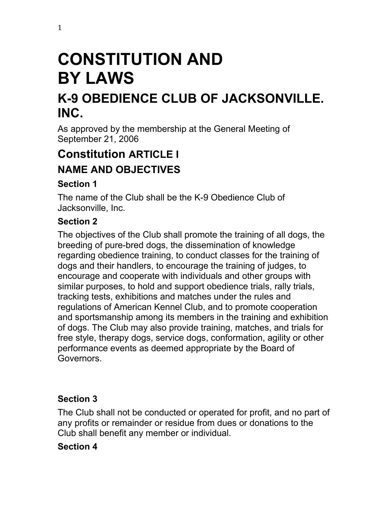# **CONSTITUTION AND BY LAWS**

## **K-9 OBEDIENCE CLUB OF JACKSONVILLE. INC.**

As approved by the membership at the General Meeting of September 21, 2006

## **Constitution ARTICLE I NAME AND OBJECTIVES**

#### **Section 1**

The name of the Club shall be the K-9 Obedience Club of Jacksonville, Inc.

## **Section 2**

The objectives of the Club shall promote the training of all dogs, the breeding of pure-bred dogs, the dissemination of knowledge regarding obedience training, to conduct classes for the training of dogs and their handlers, to encourage the training of judges, to encourage and cooperate with individuals and other groups with similar purposes, to hold and support obedience trials, rally trials, tracking tests, exhibitions and matches under the rules and regulations of American Kennel Club, and to promote cooperation and sportsmanship among its members in the training and exhibition of dogs. The Club may also provide training, matches, and trials for free style, therapy dogs, service dogs, conformation, agility or other performance events as deemed appropriate by the Board of Governors.

#### **Section 3**

The Club shall not be conducted or operated for profit, and no part of any profits or remainder or residue from dues or donations to the Club shall benefit any member or individual.

#### **Section 4**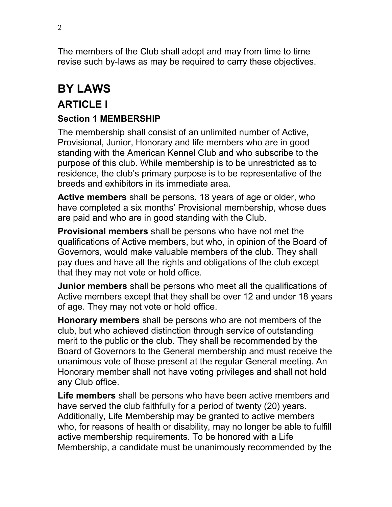The members of the Club shall adopt and may from time to time revise such by-laws as may be required to carry these objectives.

## **BY LAWS**

## **ARTICLE I**

#### **Section 1 MEMBERSHIP**

The membership shall consist of an unlimited number of Active, Provisional, Junior, Honorary and life members who are in good standing with the American Kennel Club and who subscribe to the purpose of this club. While membership is to be unrestricted as to residence, the club's primary purpose is to be representative of the breeds and exhibitors in its immediate area.

**Active members** shall be persons, 18 years of age or older, who have completed a six months' Provisional membership, whose dues are paid and who are in good standing with the Club.

**Provisional members** shall be persons who have not met the qualifications of Active members, but who, in opinion of the Board of Governors, would make valuable members of the club. They shall pay dues and have all the rights and obligations of the club except that they may not vote or hold office.

**Junior members** shall be persons who meet all the qualifications of Active members except that they shall be over 12 and under 18 years of age. They may not vote or hold office.

**Honorary members** shall be persons who are not members of the club, but who achieved distinction through service of outstanding merit to the public or the club. They shall be recommended by the Board of Governors to the General membership and must receive the unanimous vote of those present at the regular General meeting. An Honorary member shall not have voting privileges and shall not hold any Club office.

**Life members** shall be persons who have been active members and have served the club faithfully for a period of twenty (20) years. Additionally, Life Membership may be granted to active members who, for reasons of health or disability, may no longer be able to fulfill active membership requirements. To be honored with a Life Membership, a candidate must be unanimously recommended by the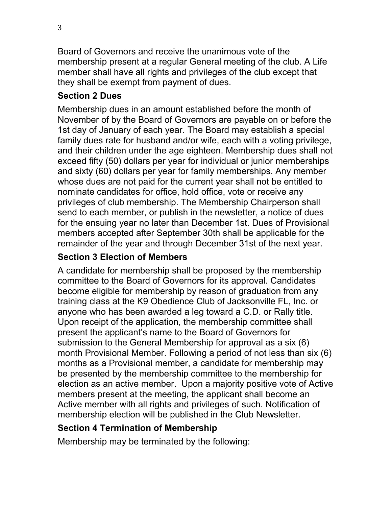Board of Governors and receive the unanimous vote of the membership present at a regular General meeting of the club. A Life member shall have all rights and privileges of the club except that they shall be exempt from payment of dues.

#### **Section 2 Dues**

Membership dues in an amount established before the month of November of by the Board of Governors are payable on or before the 1st day of January of each year. The Board may establish a special family dues rate for husband and/or wife, each with a voting privilege, and their children under the age eighteen. Membership dues shall not exceed fifty (50) dollars per year for individual or junior memberships and sixty (60) dollars per year for family memberships. Any member whose dues are not paid for the current year shall not be entitled to nominate candidates for office, hold office, vote or receive any privileges of club membership. The Membership Chairperson shall send to each member, or publish in the newsletter, a notice of dues for the ensuing year no later than December 1st. Dues of Provisional members accepted after September 30th shall be applicable for the remainder of the year and through December 31st of the next year.

#### **Section 3 Election of Members**

A candidate for membership shall be proposed by the membership committee to the Board of Governors for its approval. Candidates become eligible for membership by reason of graduation from any training class at the K9 Obedience Club of Jacksonville FL, Inc. or anyone who has been awarded a leg toward a C.D. or Rally title. Upon receipt of the application, the membership committee shall present the applicant's name to the Board of Governors for submission to the General Membership for approval as a six (6) month Provisional Member. Following a period of not less than six (6) months as a Provisional member, a candidate for membership may be presented by the membership committee to the membership for election as an active member. Upon a majority positive vote of Active members present at the meeting, the applicant shall become an Active member with all rights and privileges of such. Notification of membership election will be published in the Club Newsletter.

#### **Section 4 Termination of Membership**

Membership may be terminated by the following: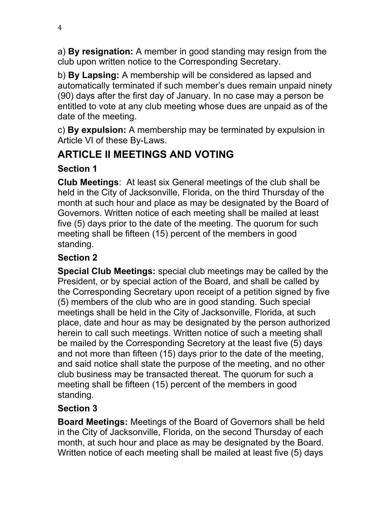a) **By resignation:** A member in good standing may resign from the club upon written notice to the Corresponding Secretary.

b) **By Lapsing:** A membership will be considered as lapsed and automatically terminated if such member's dues remain unpaid ninety (90) days after the first day of January. In no case may a person be entitled to vote at any club meeting whose dues are unpaid as of the date of the meeting.

c) **By expulsion:** A membership may be terminated by expulsion in Article VI of these By-Laws.

## **ARTICLE II MEETINGS AND VOTING**

#### **Section 1**

**Club Meetings**: At least six General meetings of the club shall be held in the City of Jacksonville, Florida, on the third Thursday of the month at such hour and place as may be designated by the Board of Governors. Written notice of each meeting shall be mailed at least five (5) days prior to the date of the meeting. The quorum for such meeting shall be fifteen (15) percent of the members in good standing.

#### **Section 2**

**Special Club Meetings:** special club meetings may be called by the President, or by special action of the Board, and shall be called by the Corresponding Secretary upon receipt of a petition signed by five (5) members of the club who are in good standing. Such special meetings shall be held in the City of Jacksonville, Florida, at such place, date and hour as may be designated by the person authorized herein to call such meetings. Written notice of such a meeting shall be mailed by the Corresponding Secretory at the least five (5) days and not more than fifteen (15) days prior to the date of the meeting, and said notice shall state the purpose of the meeting, and no other club business may be transacted thereat. The quorum for such a meeting shall be fifteen (15) percent of the members in good standing.

#### **Section 3**

**Board Meetings:** Meetings of the Board of Governors shall be held in the City of Jacksonville, Florida, on the second Thursday of each month, at such hour and place as may be designated by the Board. Written notice of each meeting shall be mailed at least five (5) days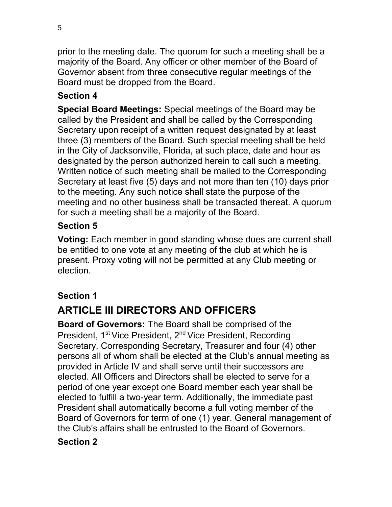prior to the meeting date. The quorum for such a meeting shall be a majority of the Board. Any officer or other member of the Board of Governor absent from three consecutive regular meetings of the Board must be dropped from the Board.

#### **Section 4**

**Special Board Meetings:** Special meetings of the Board may be called by the President and shall be called by the Corresponding Secretary upon receipt of a written request designated by at least three (3) members of the Board. Such special meeting shall be held in the City of Jacksonville, Florida, at such place, date and hour as designated by the person authorized herein to call such a meeting. Written notice of such meeting shall be mailed to the Corresponding Secretary at least five (5) days and not more than ten (10) days prior to the meeting. Any such notice shall state the purpose of the meeting and no other business shall be transacted thereat. A quorum for such a meeting shall be a majority of the Board.

#### **Section 5**

**Voting:** Each member in good standing whose dues are current shall be entitled to one vote at any meeting of the club at which he is present. Proxy voting will not be permitted at any Club meeting or election.

#### **Section 1**

## **ARTICLE III DIRECTORS AND OFFICERS**

**Board of Governors:** The Board shall be comprised of the President, 1<sup>st</sup> Vice President, 2<sup>nd</sup> Vice President, Recording Secretary, Corresponding Secretary, Treasurer and four (4) other persons all of whom shall be elected at the Club's annual meeting as provided in Article IV and shall serve until their successors are elected. All Officers and Directors shall be elected to serve for a period of one year except one Board member each year shall be elected to fulfill a two-year term. Additionally, the immediate past President shall automatically become a full voting member of the Board of Governors for term of one (1) year. General management of the Club's affairs shall be entrusted to the Board of Governors.

#### **Section 2**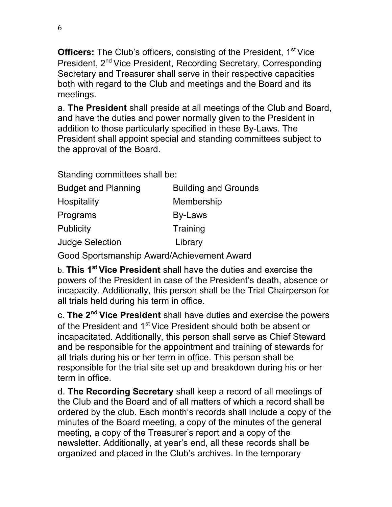**Officers:** The Club's officers, consisting of the President, 1<sup>st</sup> Vice President, 2<sup>nd</sup> Vice President, Recording Secretary, Corresponding Secretary and Treasurer shall serve in their respective capacities both with regard to the Club and meetings and the Board and its meetings.

a. **The President** shall preside at all meetings of the Club and Board, and have the duties and power normally given to the President in addition to those particularly specified in these By-Laws. The President shall appoint special and standing committees subject to the approval of the Board.

Standing committees shall be:

| <b>Budget and Planning</b> | <b>Building and Grounds</b> |
|----------------------------|-----------------------------|
| Hospitality                | Membership                  |
| Programs                   | By-Laws                     |
| Publicity                  | Training                    |
| <b>Judge Selection</b>     | Library                     |

Good Sportsmanship Award/Achievement Award

b. **This 1st Vice President** shall have the duties and exercise the powers of the President in case of the President's death, absence or incapacity. Additionally, this person shall be the Trial Chairperson for all trials held during his term in office.

c. **The 2nd Vice President** shall have duties and exercise the powers of the President and 1<sup>st</sup> Vice President should both be absent or incapacitated. Additionally, this person shall serve as Chief Steward and be responsible for the appointment and training of stewards for all trials during his or her term in office. This person shall be responsible for the trial site set up and breakdown during his or her term in office.

d. **The Recording Secretary** shall keep a record of all meetings of the Club and the Board and of all matters of which a record shall be ordered by the club. Each month's records shall include a copy of the minutes of the Board meeting, a copy of the minutes of the general meeting, a copy of the Treasurer's report and a copy of the newsletter. Additionally, at year's end, all these records shall be organized and placed in the Club's archives. In the temporary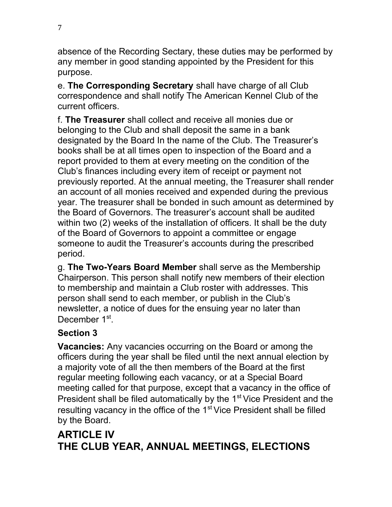absence of the Recording Sectary, these duties may be performed by any member in good standing appointed by the President for this purpose.

e. **The Corresponding Secretary** shall have charge of all Club correspondence and shall notify The American Kennel Club of the current officers.

f. **The Treasurer** shall collect and receive all monies due or belonging to the Club and shall deposit the same in a bank designated by the Board In the name of the Club. The Treasurer's books shall be at all times open to inspection of the Board and a report provided to them at every meeting on the condition of the Club's finances including every item of receipt or payment not previously reported. At the annual meeting, the Treasurer shall render an account of all monies received and expended during the previous year. The treasurer shall be bonded in such amount as determined by the Board of Governors. The treasurer's account shall be audited within two (2) weeks of the installation of officers. It shall be the duty of the Board of Governors to appoint a committee or engage someone to audit the Treasurer's accounts during the prescribed period.

g. **The Two-Years Board Member** shall serve as the Membership Chairperson. This person shall notify new members of their election to membership and maintain a Club roster with addresses. This person shall send to each member, or publish in the Club's newsletter, a notice of dues for the ensuing year no later than December 1<sup>st</sup>.

#### **Section 3**

**Vacancies:** Any vacancies occurring on the Board or among the officers during the year shall be filed until the next annual election by a majority vote of all the then members of the Board at the first regular meeting following each vacancy, or at a Special Board meeting called for that purpose, except that a vacancy in the office of President shall be filed automatically by the 1<sup>st</sup> Vice President and the resulting vacancy in the office of the  $1<sup>st</sup>$  Vice President shall be filled by the Board.

#### **ARTICLE IV THE CLUB YEAR, ANNUAL MEETINGS, ELECTIONS**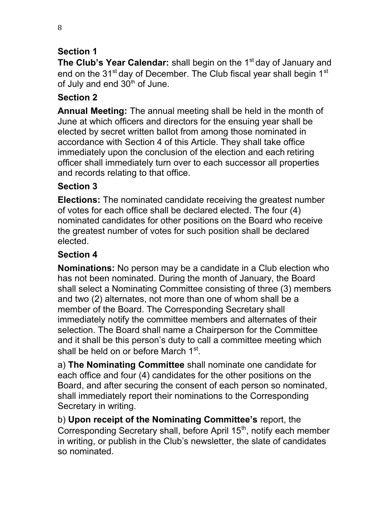#### **Section 1**

**The Club's Year Calendar:** shall begin on the 1<sup>st</sup> day of January and end on the 31<sup>st</sup> day of December. The Club fiscal year shall begin 1<sup>st</sup> of July and end  $30<sup>th</sup>$  of June.

#### **Section 2**

**Annual Meeting:** The annual meeting shall be held in the month of June at which officers and directors for the ensuing year shall be elected by secret written ballot from among those nominated in accordance with Section 4 of this Article. They shall take office immediately upon the conclusion of the election and each retiring officer shall immediately turn over to each successor all properties and records relating to that office.

#### **Section 3**

**Elections:** The nominated candidate receiving the greatest number of votes for each office shall be declared elected. The four (4) nominated candidates for other positions on the Board who receive the greatest number of votes for such position shall be declared elected.

#### **Section 4**

**Nominations:** No person may be a candidate in a Club election who has not been nominated. During the month of January, the Board shall select a Nominating Committee consisting of three (3) members and two (2) alternates, not more than one of whom shall be a member of the Board. The Corresponding Secretary shall immediately notify the committee members and alternates of their selection. The Board shall name a Chairperson for the Committee and it shall be this person's duty to call a committee meeting which shall be held on or before March 1<sup>st</sup>.

a) **The Nominating Committee** shall nominate one candidate for each office and four (4) candidates for the other positions on the Board, and after securing the consent of each person so nominated, shall immediately report their nominations to the Corresponding Secretary in writing.

b) **Upon receipt of the Nominating Committee's** report, the Corresponding Secretary shall, before April 15<sup>th</sup>, notify each member in writing, or publish in the Club's newsletter, the slate of candidates so nominated.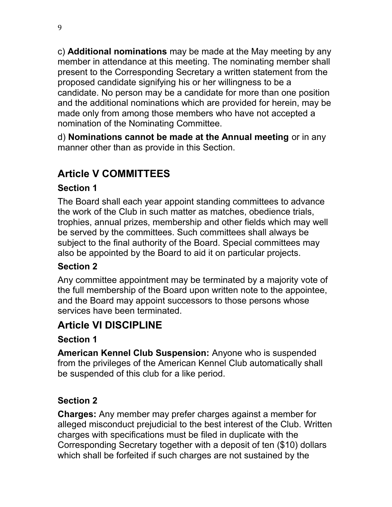c) **Additional nominations** may be made at the May meeting by any member in attendance at this meeting. The nominating member shall present to the Corresponding Secretary a written statement from the proposed candidate signifying his or her willingness to be a candidate. No person may be a candidate for more than one position and the additional nominations which are provided for herein, may be made only from among those members who have not accepted a nomination of the Nominating Committee.

d) **Nominations cannot be made at the Annual meeting** or in any manner other than as provide in this Section.

## **Article V COMMITTEES**

#### **Section 1**

The Board shall each year appoint standing committees to advance the work of the Club in such matter as matches, obedience trials, trophies, annual prizes, membership and other fields which may well be served by the committees. Such committees shall always be subject to the final authority of the Board. Special committees may also be appointed by the Board to aid it on particular projects.

#### **Section 2**

Any committee appointment may be terminated by a majority vote of the full membership of the Board upon written note to the appointee, and the Board may appoint successors to those persons whose services have been terminated.

## **Article VI DISCIPLINE**

#### **Section 1**

**American Kennel Club Suspension:** Anyone who is suspended from the privileges of the American Kennel Club automatically shall be suspended of this club for a like period.

## **Section 2**

**Charges:** Any member may prefer charges against a member for alleged misconduct prejudicial to the best interest of the Club. Written charges with specifications must be filed in duplicate with the Corresponding Secretary together with a deposit of ten (\$10) dollars which shall be forfeited if such charges are not sustained by the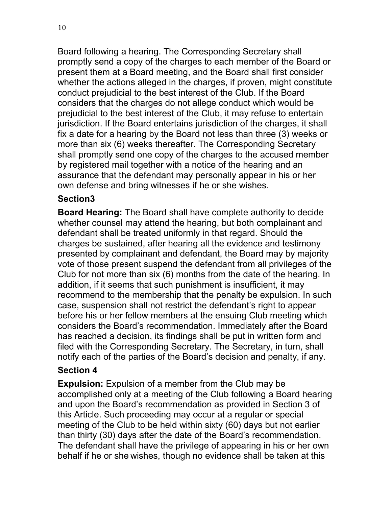10

Board following a hearing. The Corresponding Secretary shall promptly send a copy of the charges to each member of the Board or present them at a Board meeting, and the Board shall first consider whether the actions alleged in the charges, if proven, might constitute conduct prejudicial to the best interest of the Club. If the Board considers that the charges do not allege conduct which would be prejudicial to the best interest of the Club, it may refuse to entertain jurisdiction. If the Board entertains jurisdiction of the charges, it shall fix a date for a hearing by the Board not less than three (3) weeks or more than six (6) weeks thereafter. The Corresponding Secretary shall promptly send one copy of the charges to the accused member by registered mail together with a notice of the hearing and an assurance that the defendant may personally appear in his or her own defense and bring witnesses if he or she wishes.

#### **Section3**

**Board Hearing:** The Board shall have complete authority to decide whether counsel may attend the hearing, but both complainant and defendant shall be treated uniformly in that regard. Should the charges be sustained, after hearing all the evidence and testimony presented by complainant and defendant, the Board may by majority vote of those present suspend the defendant from all privileges of the Club for not more than six (6) months from the date of the hearing. In addition, if it seems that such punishment is insufficient, it may recommend to the membership that the penalty be expulsion. In such case, suspension shall not restrict the defendant's right to appear before his or her fellow members at the ensuing Club meeting which considers the Board's recommendation. Immediately after the Board has reached a decision, its findings shall be put in written form and filed with the Corresponding Secretary. The Secretary, in turn, shall notify each of the parties of the Board's decision and penalty, if any.

#### **Section 4**

**Expulsion:** Expulsion of a member from the Club may be accomplished only at a meeting of the Club following a Board hearing and upon the Board's recommendation as provided in Section 3 of this Article. Such proceeding may occur at a regular or special meeting of the Club to be held within sixty (60) days but not earlier than thirty (30) days after the date of the Board's recommendation. The defendant shall have the privilege of appearing in his or her own behalf if he or she wishes, though no evidence shall be taken at this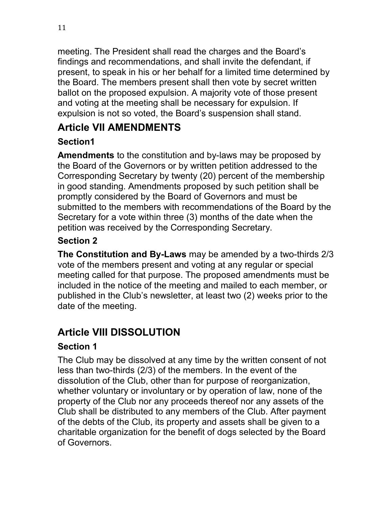meeting. The President shall read the charges and the Board's findings and recommendations, and shall invite the defendant, if present, to speak in his or her behalf for a limited time determined by the Board. The members present shall then vote by secret written ballot on the proposed expulsion. A majority vote of those present and voting at the meeting shall be necessary for expulsion. If expulsion is not so voted, the Board's suspension shall stand.

## **Article VII AMENDMENTS**

## **Section1**

**Amendments** to the constitution and by-laws may be proposed by the Board of the Governors or by written petition addressed to the Corresponding Secretary by twenty (20) percent of the membership in good standing. Amendments proposed by such petition shall be promptly considered by the Board of Governors and must be submitted to the members with recommendations of the Board by the Secretary for a vote within three (3) months of the date when the petition was received by the Corresponding Secretary.

## **Section 2**

**The Constitution and By-Laws** may be amended by a two-thirds 2/3 vote of the members present and voting at any regular or special meeting called for that purpose. The proposed amendments must be included in the notice of the meeting and mailed to each member, or published in the Club's newsletter, at least two (2) weeks prior to the date of the meeting.

## **Article VIII DISSOLUTION**

## **Section 1**

The Club may be dissolved at any time by the written consent of not less than two-thirds (2/3) of the members. In the event of the dissolution of the Club, other than for purpose of reorganization, whether voluntary or involuntary or by operation of law, none of the property of the Club nor any proceeds thereof nor any assets of the Club shall be distributed to any members of the Club. After payment of the debts of the Club, its property and assets shall be given to a charitable organization for the benefit of dogs selected by the Board of Governors.